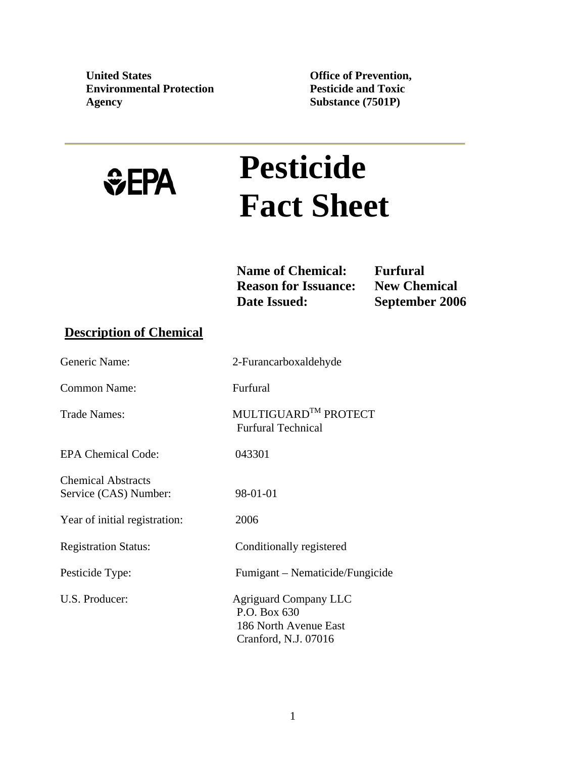**United States Environmental Protection Agency** 

**Office of Prevention, Pesticide and Toxic Substance (7501P)**

# *<u>GEPA</u>*

# **Pesticide Fact Sheet**

**Name of Chemical: Furfural<br>
Reason for Issuance: New Chemical Reason for Issuance: Date Issued: September 2006** 

# **Description of Chemical**

| Generic Name:                                      | 2-Furancarboxaldehyde                                                                         |
|----------------------------------------------------|-----------------------------------------------------------------------------------------------|
| <b>Common Name:</b>                                | Furfural                                                                                      |
| <b>Trade Names:</b>                                | MULTIGUARD <sup>TM</sup> PROTECT<br><b>Furfural Technical</b>                                 |
| <b>EPA Chemical Code:</b>                          | 043301                                                                                        |
| <b>Chemical Abstracts</b><br>Service (CAS) Number: | 98-01-01                                                                                      |
| Year of initial registration:                      | 2006                                                                                          |
| <b>Registration Status:</b>                        | Conditionally registered                                                                      |
| Pesticide Type:                                    | Fumigant – Nematicide/Fungicide                                                               |
| U.S. Producer:                                     | <b>Agriguard Company LLC</b><br>P.O. Box 630<br>186 North Avenue East<br>Cranford, N.J. 07016 |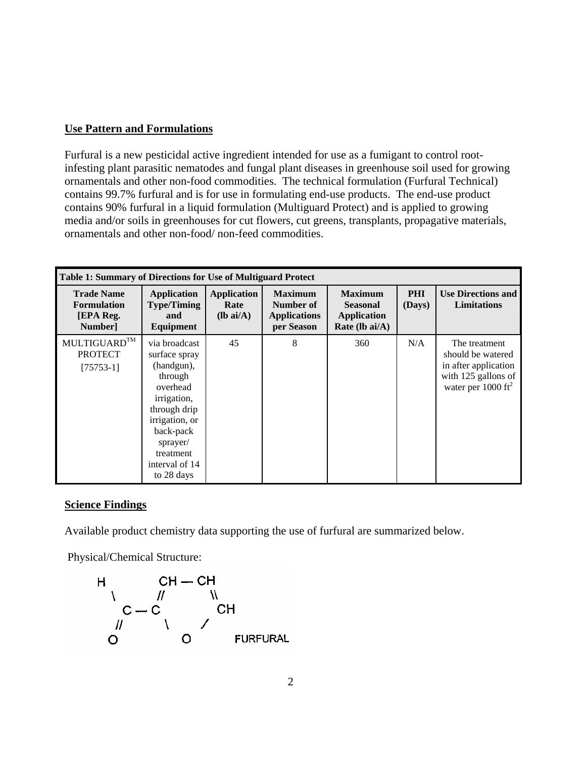# **Use Pattern and Formulations**

Furfural is a new pesticidal active ingredient intended for use as a fumigant to control rootinfesting plant parasitic nematodes and fungal plant diseases in greenhouse soil used for growing ornamentals and other non-food commodities. The technical formulation (Furfural Technical) contains 99.7% furfural and is for use in formulating end-use products. The end-use product contains 90% furfural in a liquid formulation (Multiguard Protect) and is applied to growing media and/or soils in greenhouses for cut flowers, cut greens, transplants, propagative materials, ornamentals and other non-food/ non-feed commodities.

| <b>Table 1: Summary of Directions for Use of Multiguard Protect</b> |                                                                                                                                                                                            |                                           |                                                                  |                                                                           |                      |                                                                                                                    |
|---------------------------------------------------------------------|--------------------------------------------------------------------------------------------------------------------------------------------------------------------------------------------|-------------------------------------------|------------------------------------------------------------------|---------------------------------------------------------------------------|----------------------|--------------------------------------------------------------------------------------------------------------------|
| <b>Trade Name</b><br><b>Formulation</b><br>[EPA Reg.<br>Number]     | <b>Application</b><br><b>Type/Timing</b><br>and<br>Equipment                                                                                                                               | <b>Application</b><br>Rate<br>$(lb ai/A)$ | <b>Maximum</b><br>Number of<br><b>Applications</b><br>per Season | <b>Maximum</b><br><b>Seasonal</b><br><b>Application</b><br>Rate (lb ai/A) | <b>PHI</b><br>(Days) | <b>Use Directions and</b><br><b>Limitations</b>                                                                    |
| MULTIGUARD™<br><b>PROTECT</b><br>$[75753-1]$                        | via broadcast<br>surface spray<br>(handgun),<br>through<br>overhead<br>irrigation,<br>through drip<br>irrigation, or<br>back-pack<br>sprayer/<br>treatment<br>interval of 14<br>to 28 days | 45                                        | 8                                                                | 360                                                                       | N/A                  | The treatment<br>should be watered<br>in after application<br>with 125 gallons of<br>water per $1000 \text{ ft}^2$ |

# **Science Findings**

Available product chemistry data supporting the use of furfural are summarized below.

Physical/Chemical Structure:

$$
\begin{array}{ccc}\nH & CH - CH & \\
\wedge & \wedge & \wedge \\
C - C & & CH \\
\wedge & \wedge & \wedge \\
O & O & FURFURAL\n\end{array}
$$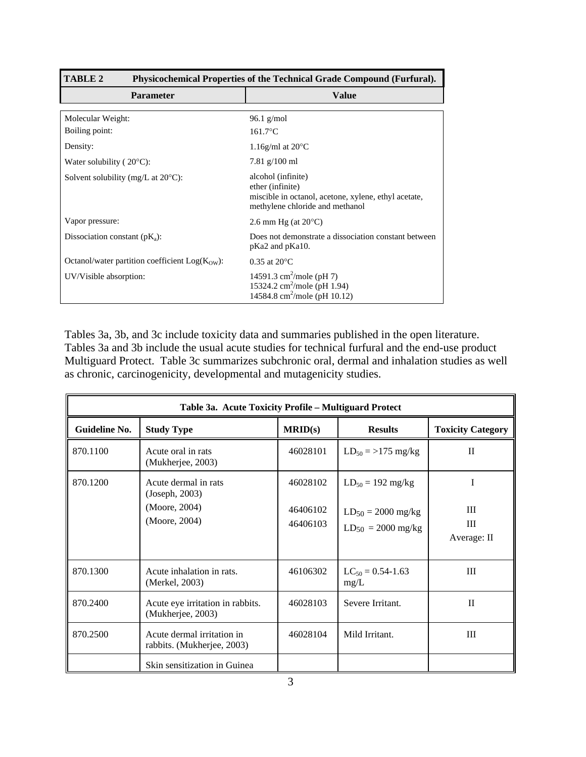| <b>TABLE 2</b>                                   | Physicochemical Properties of the Technical Grade Compound (Furfural).                                                            |
|--------------------------------------------------|-----------------------------------------------------------------------------------------------------------------------------------|
| <b>Parameter</b>                                 | <b>Value</b>                                                                                                                      |
| Molecular Weight:                                | $96.1$ g/mol                                                                                                                      |
| Boiling point:                                   | $161.7$ °C                                                                                                                        |
| Density:                                         | 1.16g/ml at $20^{\circ}$ C                                                                                                        |
| Water solubility ( $20^{\circ}$ C):              | $7.81$ g/100 ml                                                                                                                   |
| Solvent solubility (mg/L at $20^{\circ}$ C):     | alcohol (infinite)<br>ether (infinite)<br>miscible in octanol, acetone, xylene, ethyl acetate,<br>methylene chloride and methanol |
| Vapor pressure:                                  | 2.6 mm Hg (at $20^{\circ}$ C)                                                                                                     |
| Dissociation constant ( $pK_a$ ):                | Does not demonstrate a dissociation constant between<br>pKa2 and pKa10.                                                           |
| Octanol/water partition coefficient $Log(KOW)$ : | $0.35$ at $20^{\circ}$ C                                                                                                          |
| UV/Visible absorption:                           | 14591.3 cm <sup>2</sup> /mole (pH 7)<br>15324.2 cm <sup>2</sup> /mole (pH 1.94)<br>14584.8 cm <sup>2</sup> /mole (pH 10.12)       |

Tables 3a, 3b, and 3c include toxicity data and summaries published in the open literature. Tables 3a and 3b include the usual acute studies for technical furfural and the end-use product Multiguard Protect. Table 3c summarizes subchronic oral, dermal and inhalation studies as well as chronic, carcinogenicity, developmental and mutagenicity studies.

| Table 3a. Acute Toxicity Profile - Multiguard Protect |                                                                          |                                  |                                                                                   |                            |  |
|-------------------------------------------------------|--------------------------------------------------------------------------|----------------------------------|-----------------------------------------------------------------------------------|----------------------------|--|
| Guideline No.                                         | <b>Study Type</b>                                                        | MRID(s)                          | <b>Results</b>                                                                    | <b>Toxicity Category</b>   |  |
| 870.1100                                              | Acute oral in rats<br>(Mukherjee, 2003)                                  | 46028101                         | $LD_{50} = >175$ mg/kg                                                            | $\mathbf{I}$               |  |
| 870.1200                                              | Acute dermal in rats<br>(Joseph, 2003)<br>(Moore, 2004)<br>(Moore, 2004) | 46028102<br>46406102<br>46406103 | $LD_{50} = 192 \text{ mg/kg}$<br>$LD_{50} = 2000$ mg/kg<br>$LD_{50} = 2000$ mg/kg | I<br>Ш<br>Ш<br>Average: II |  |
| 870.1300                                              | Acute inhalation in rats.<br>(Merkel, 2003)                              | 46106302                         | $LC_{50} = 0.54 - 1.63$<br>mg/L                                                   | Ш                          |  |
| 870.2400                                              | Acute eye irritation in rabbits.<br>(Mukherjee, 2003)                    | 46028103                         | Severe Irritant.                                                                  | $\mathbf{I}$               |  |
| 870.2500                                              | Acute dermal irritation in<br>rabbits. (Mukherjee, 2003)                 | 46028104                         | Mild Irritant.                                                                    | III                        |  |
|                                                       | Skin sensitization in Guinea                                             |                                  |                                                                                   |                            |  |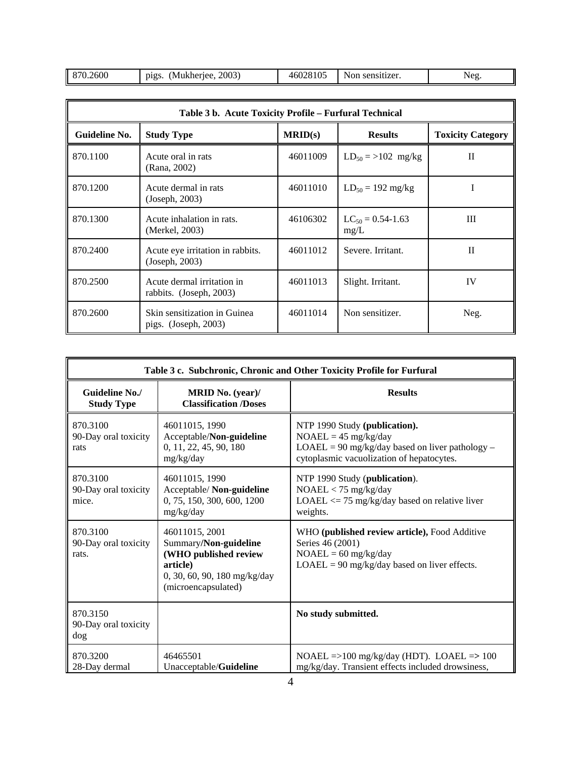| 870.2600<br>2003<br>(Mukheriee,<br>D12S | 46028105 | $\gamma$ on.<br>sensitizer. | Neg |
|-----------------------------------------|----------|-----------------------------|-----|
|-----------------------------------------|----------|-----------------------------|-----|

| Table 3 b. Acute Toxicity Profile - Furfural Technical |                                                        |          |                                 |                          |
|--------------------------------------------------------|--------------------------------------------------------|----------|---------------------------------|--------------------------|
| Guideline No.                                          | <b>Study Type</b>                                      | MRID(s)  | <b>Results</b>                  | <b>Toxicity Category</b> |
| 870.1100                                               | Acute oral in rats<br>(Rana, 2002)                     | 46011009 | $LD_{50} = >102$ mg/kg          | П                        |
| 870.1200                                               | Acute dermal in rats<br>(Joseph, 2003)                 | 46011010 | $LD_{50} = 192$ mg/kg           |                          |
| 870.1300                                               | Acute inhalation in rats.<br>(Merkel, 2003)            | 46106302 | $LC_{50} = 0.54 - 1.63$<br>mg/L | III                      |
| 870.2400                                               | Acute eye irritation in rabbits.<br>(Joseph, 2003)     | 46011012 | Severe. Irritant.               | $\mathbf{I}$             |
| 870.2500                                               | Acute dermal irritation in<br>rabbits. (Joseph, 2003)  | 46011013 | Slight. Irritant.               | IV                       |
| 870.2600                                               | Skin sensitization in Guinea<br>pigs. $(Joseph, 2003)$ | 46011014 | Non sensitizer.                 | Neg.                     |

| Table 3 c. Subchronic, Chronic and Other Toxicity Profile for Furfural |                                                                                                                                     |                                                                                                                                                           |  |  |
|------------------------------------------------------------------------|-------------------------------------------------------------------------------------------------------------------------------------|-----------------------------------------------------------------------------------------------------------------------------------------------------------|--|--|
| Guideline No./<br><b>Study Type</b>                                    | <b>MRID</b> No. (year)/<br><b>Classification /Doses</b>                                                                             | <b>Results</b>                                                                                                                                            |  |  |
| 870.3100<br>90-Day oral toxicity<br>rats                               | 46011015, 1990<br>Acceptable/Non-guideline<br>0, 11, 22, 45, 90, 180<br>mg/kg/day                                                   | NTP 1990 Study (publication).<br>$NOAEL = 45$ mg/kg/day<br>$LOAEL = 90$ mg/kg/day based on liver pathology -<br>cytoplasmic vacuolization of hepatocytes. |  |  |
| 870.3100<br>90-Day oral toxicity<br>mice.                              | 46011015, 1990<br>Acceptable/Non-guideline<br>0, 75, 150, 300, 600, 1200<br>mg/kg/day                                               | NTP 1990 Study (publication).<br>$NOAEL < 75$ mg/kg/day<br>LOAEL $\le$ 75 mg/kg/day based on relative liver<br>weights.                                   |  |  |
| 870.3100<br>90-Day oral toxicity<br>rats.                              | 46011015, 2001<br>Summary/Non-guideline<br>(WHO published review<br>article)<br>0, 30, 60, 90, 180 mg/kg/day<br>(microencapsulated) | WHO (published review article), Food Additive<br>Series 46 (2001)<br>$NOAEL = 60$ mg/kg/day<br>$LOAEL = 90$ mg/kg/day based on liver effects.             |  |  |
| 870.3150<br>90-Day oral toxicity<br>dog                                |                                                                                                                                     | No study submitted.                                                                                                                                       |  |  |
| 870.3200<br>28-Day dermal                                              | 46465501<br>Unacceptable/Guideline                                                                                                  | NOAEL =>100 mg/kg/day (HDT). LOAEL =>100<br>mg/kg/day. Transient effects included drowsiness,                                                             |  |  |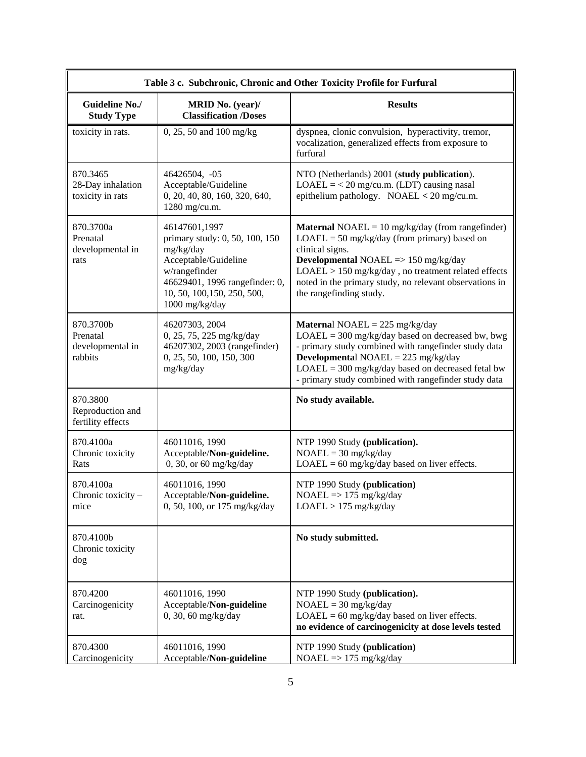|                                                      |                                                                                                                                                                                          | Table 3 c. Subchronic, Chronic and Other Toxicity Profile for Furfural                                                                                                                                                                                                                                                               |
|------------------------------------------------------|------------------------------------------------------------------------------------------------------------------------------------------------------------------------------------------|--------------------------------------------------------------------------------------------------------------------------------------------------------------------------------------------------------------------------------------------------------------------------------------------------------------------------------------|
| <b>Guideline No./</b><br><b>Study Type</b>           | MRID No. (year)/<br><b>Classification /Doses</b>                                                                                                                                         | <b>Results</b>                                                                                                                                                                                                                                                                                                                       |
| toxicity in rats.                                    | 0, 25, 50 and 100 mg/kg                                                                                                                                                                  | dyspnea, clonic convulsion, hyperactivity, tremor,<br>vocalization, generalized effects from exposure to<br>furfural                                                                                                                                                                                                                 |
| 870.3465<br>28-Day inhalation<br>toxicity in rats    | 46426504, -05<br>Acceptable/Guideline<br>0, 20, 40, 80, 160, 320, 640,<br>1280 mg/cu.m.                                                                                                  | NTO (Netherlands) 2001 (study publication).<br>$LOAEL = < 20$ mg/cu.m. (LDT) causing nasal<br>epithelium pathology. NOAEL < $20 \text{ mg/cu.m.}$                                                                                                                                                                                    |
| 870.3700a<br>Prenatal<br>developmental in<br>rats    | 46147601,1997<br>primary study: 0, 50, 100, 150<br>mg/kg/day<br>Acceptable/Guideline<br>w/rangefinder<br>46629401, 1996 rangefinder: 0,<br>10, 50, 100, 150, 250, 500,<br>1000 mg/kg/day | <b>Maternal</b> NOAEL = $10 \text{ mg/kg/day}$ (from rangefinder)<br>$LOAEL = 50$ mg/kg/day (from primary) based on<br>clinical signs.<br><b>Developmental NOAEL</b> => $150$ mg/kg/day<br>LOAEL > 150 mg/kg/day, no treatment related effects<br>noted in the primary study, no relevant observations in<br>the rangefinding study. |
| 870.3700b<br>Prenatal<br>developmental in<br>rabbits | 46207303, 2004<br>0, 25, 75, 225 mg/kg/day<br>46207302, 2003 (rangefinder)<br>0, 25, 50, 100, 150, 300<br>mg/kg/day                                                                      | <b>Maternal NOAEL</b> = $225 \text{ mg/kg/day}$<br>$LOAEL = 300$ mg/kg/day based on decreased bw, bwg<br>- primary study combined with rangefinder study data<br><b>Developmental NOAEL</b> = $225 \text{ mg/kg/day}$<br>$LOAEL = 300$ mg/kg/day based on decreased fetal bw<br>- primary study combined with rangefinder study data |
| 870.3800<br>Reproduction and<br>fertility effects    |                                                                                                                                                                                          | No study available.                                                                                                                                                                                                                                                                                                                  |
| 870.4100a<br>Chronic toxicity<br>Rats                | 46011016, 1990<br>Acceptable/Non-guideline.<br>0, 30, or 60 mg/kg/day                                                                                                                    | NTP 1990 Study (publication).<br>$NOAEL = 30$ mg/kg/day<br>$LOAEL = 60$ mg/kg/day based on liver effects.                                                                                                                                                                                                                            |
| 870.4100a<br>Chronic toxicity -<br>mice              | 46011016, 1990<br>Acceptable/Non-guideline.<br>0, 50, 100, or 175 mg/kg/day                                                                                                              | NTP 1990 Study (publication)<br>$NOAEL \Rightarrow 175 \text{ mg/kg/day}$<br>$LOAEL > 175$ mg/kg/day                                                                                                                                                                                                                                 |
| 870.4100b<br>Chronic toxicity<br>dog                 |                                                                                                                                                                                          | No study submitted.                                                                                                                                                                                                                                                                                                                  |
| 870.4200<br>Carcinogenicity<br>rat.                  | 46011016, 1990<br>Acceptable/Non-guideline<br>$0, 30, 60$ mg/kg/day                                                                                                                      | NTP 1990 Study (publication).<br>$NOAEL = 30$ mg/kg/day<br>$LOAEL = 60$ mg/kg/day based on liver effects.<br>no evidence of carcinogenicity at dose levels tested                                                                                                                                                                    |
| 870.4300<br>Carcinogenicity                          | 46011016, 1990<br>Acceptable/Non-guideline                                                                                                                                               | NTP 1990 Study (publication)<br>$NOAEL \implies 175 \text{ mg/kg/day}$                                                                                                                                                                                                                                                               |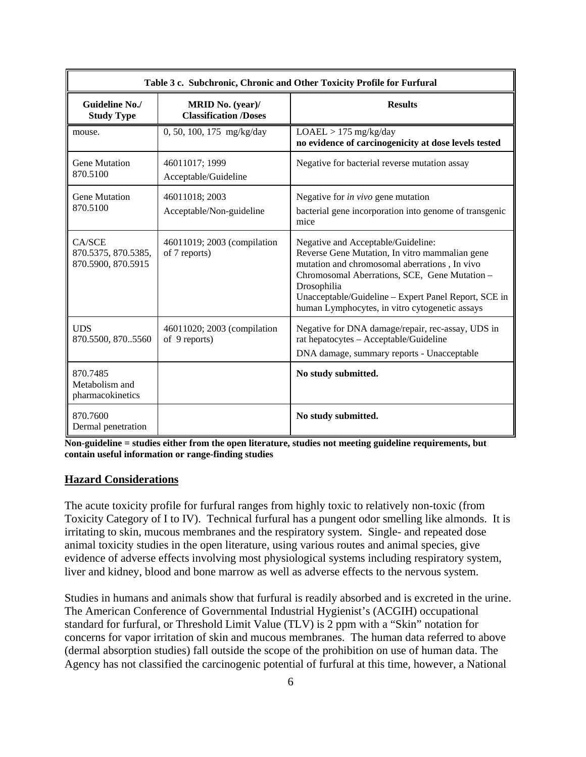|                                                     | Table 3 c. Subchronic, Chronic and Other Toxicity Profile for Furfural |                                                                                                                                                                                                                                                                                                                 |  |  |  |
|-----------------------------------------------------|------------------------------------------------------------------------|-----------------------------------------------------------------------------------------------------------------------------------------------------------------------------------------------------------------------------------------------------------------------------------------------------------------|--|--|--|
| Guideline No./<br><b>Study Type</b>                 | MRID No. (year)/<br><b>Classification /Doses</b>                       | <b>Results</b>                                                                                                                                                                                                                                                                                                  |  |  |  |
| mouse.                                              | 0, 50, 100, 175 mg/kg/day                                              | $LOAEL > 175$ mg/kg/day<br>no evidence of carcinogenicity at dose levels tested                                                                                                                                                                                                                                 |  |  |  |
| <b>Gene Mutation</b><br>870.5100                    | 46011017; 1999<br>Acceptable/Guideline                                 | Negative for bacterial reverse mutation assay                                                                                                                                                                                                                                                                   |  |  |  |
| <b>Gene Mutation</b><br>870.5100                    | 46011018; 2003<br>Acceptable/Non-guideline                             | Negative for in vivo gene mutation<br>bacterial gene incorporation into genome of transgenic<br>mice                                                                                                                                                                                                            |  |  |  |
| CA/SCE<br>870.5375, 870.5385,<br>870.5900, 870.5915 | 46011019; 2003 (compilation<br>of 7 reports)                           | Negative and Acceptable/Guideline:<br>Reverse Gene Mutation, In vitro mammalian gene<br>mutation and chromosomal aberrations, In vivo<br>Chromosomal Aberrations, SCE, Gene Mutation -<br>Drosophilia<br>Unacceptable/Guideline - Expert Panel Report, SCE in<br>human Lymphocytes, in vitro cytogenetic assays |  |  |  |
| <b>UDS</b><br>870.5500, 8705560                     | 46011020; 2003 (compilation<br>of 9 reports)                           | Negative for DNA damage/repair, rec-assay, UDS in<br>rat hepatocytes - Acceptable/Guideline<br>DNA damage, summary reports - Unacceptable                                                                                                                                                                       |  |  |  |
| 870.7485<br>Metabolism and<br>pharmacokinetics      |                                                                        | No study submitted.                                                                                                                                                                                                                                                                                             |  |  |  |
| 870.7600<br>Dermal penetration                      |                                                                        | No study submitted.                                                                                                                                                                                                                                                                                             |  |  |  |

**Non-guideline = studies either from the open literature, studies not meeting guideline requirements, but contain useful information or range-finding studies**

# **Hazard Considerations**

The acute toxicity profile for furfural ranges from highly toxic to relatively non-toxic (from Toxicity Category of I to IV). Technical furfural has a pungent odor smelling like almonds. It is irritating to skin, mucous membranes and the respiratory system. Single- and repeated dose animal toxicity studies in the open literature, using various routes and animal species, give evidence of adverse effects involving most physiological systems including respiratory system, liver and kidney, blood and bone marrow as well as adverse effects to the nervous system.

Studies in humans and animals show that furfural is readily absorbed and is excreted in the urine. The American Conference of Governmental Industrial Hygienist's (ACGIH) occupational standard for furfural, or Threshold Limit Value (TLV) is 2 ppm with a "Skin" notation for concerns for vapor irritation of skin and mucous membranes. The human data referred to above (dermal absorption studies) fall outside the scope of the prohibition on use of human data. The Agency has not classified the carcinogenic potential of furfural at this time, however, a National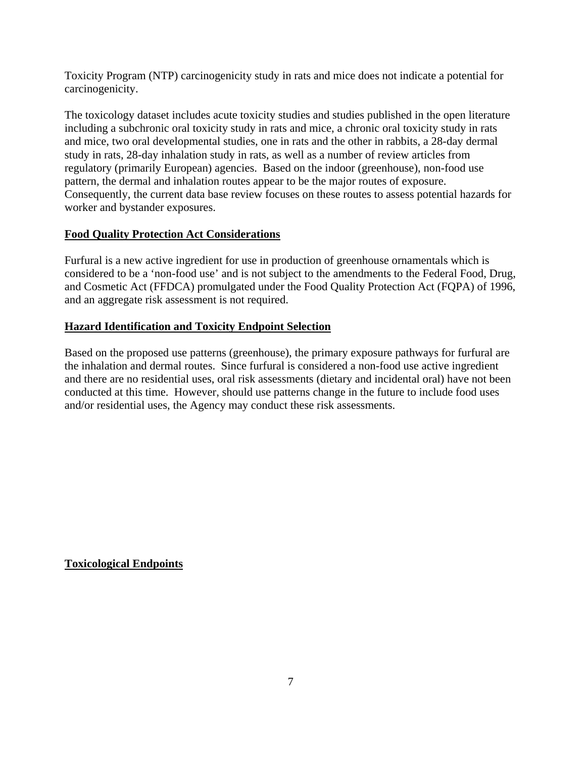Toxicity Program (NTP) carcinogenicity study in rats and mice does not indicate a potential for carcinogenicity.

The toxicology dataset includes acute toxicity studies and studies published in the open literature including a subchronic oral toxicity study in rats and mice, a chronic oral toxicity study in rats and mice, two oral developmental studies, one in rats and the other in rabbits, a 28-day dermal study in rats, 28-day inhalation study in rats, as well as a number of review articles from regulatory (primarily European) agencies. Based on the indoor (greenhouse), non-food use pattern, the dermal and inhalation routes appear to be the major routes of exposure. Consequently, the current data base review focuses on these routes to assess potential hazards for worker and bystander exposures.

# **Food Quality Protection Act Considerations**

Furfural is a new active ingredient for use in production of greenhouse ornamentals which is considered to be a 'non-food use' and is not subject to the amendments to the Federal Food, Drug, and Cosmetic Act (FFDCA) promulgated under the Food Quality Protection Act (FQPA) of 1996, and an aggregate risk assessment is not required.

# **Hazard Identification and Toxicity Endpoint Selection**

Based on the proposed use patterns (greenhouse), the primary exposure pathways for furfural are the inhalation and dermal routes. Since furfural is considered a non-food use active ingredient and there are no residential uses, oral risk assessments (dietary and incidental oral) have not been conducted at this time. However, should use patterns change in the future to include food uses and/or residential uses, the Agency may conduct these risk assessments.

# **Toxicological Endpoints**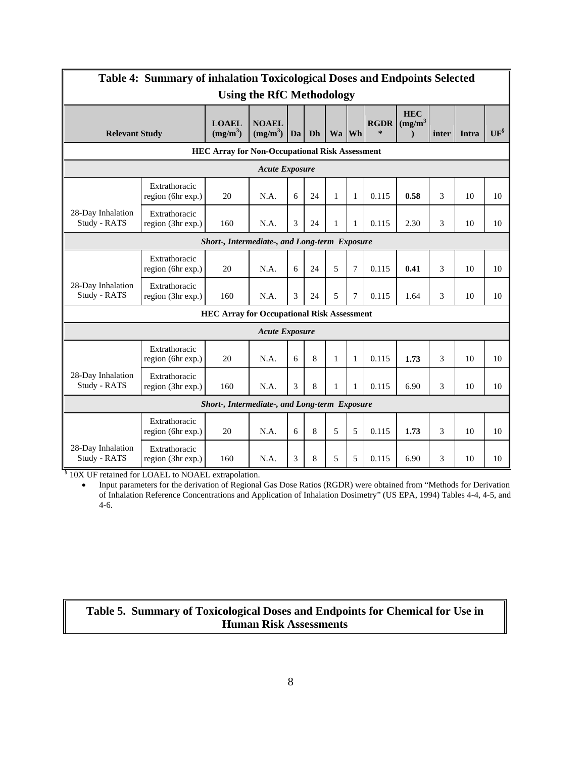| <b>Table 4: Summary of inhalation Toxicological Doses and Endpoints Selected</b> |                                    |                                                       |                                      |    |    |              |              |                       |                          |       |       |           |
|----------------------------------------------------------------------------------|------------------------------------|-------------------------------------------------------|--------------------------------------|----|----|--------------|--------------|-----------------------|--------------------------|-------|-------|-----------|
|                                                                                  | <b>Using the RfC Methodology</b>   |                                                       |                                      |    |    |              |              |                       |                          |       |       |           |
| <b>Relevant Study</b>                                                            |                                    | <b>LOAEL</b><br>(mg/m <sup>3</sup> )                  | <b>NOAEL</b><br>(mg/m <sup>3</sup> ) | Da | Dh | Wa   Wh      |              | <b>RGDR</b><br>$\ast$ | <b>HEC</b><br>$(mg/m^3)$ | inter | Intra | $UF^{\S}$ |
|                                                                                  |                                    | <b>HEC Array for Non-Occupational Risk Assessment</b> |                                      |    |    |              |              |                       |                          |       |       |           |
|                                                                                  |                                    |                                                       | <b>Acute Exposure</b>                |    |    |              |              |                       |                          |       |       |           |
|                                                                                  | Extrathoracic<br>region (6hr exp.) | 20                                                    | N.A.                                 | 6  | 24 | $\mathbf{1}$ | $\mathbf{1}$ | 0.115                 | 0.58                     | 3     | 10    | 10        |
| 28-Day Inhalation<br>Study - RATS                                                | Extrathoracic<br>region (3hr exp.) | 160                                                   | N.A.                                 | 3  | 24 | 1            | $\mathbf{1}$ | 0.115                 | 2.30                     | 3     | 10    | 10        |
|                                                                                  |                                    | Short-, Intermediate-, and Long-term Exposure         |                                      |    |    |              |              |                       |                          |       |       |           |
|                                                                                  | Extrathoracic<br>region (6hr exp.) | 20                                                    | N.A.                                 | 6  | 24 | 5            | 7            | 0.115                 | 0.41                     | 3     | 10    | 10        |
| 28-Day Inhalation<br>Study - RATS                                                | Extrathoracic<br>region (3hr exp.) | 160                                                   | N.A.                                 | 3  | 24 | 5            | 7            | 0.115                 | 1.64                     | 3     | 10    | 10        |
|                                                                                  |                                    | <b>HEC Array for Occupational Risk Assessment</b>     |                                      |    |    |              |              |                       |                          |       |       |           |
|                                                                                  |                                    |                                                       | <b>Acute Exposure</b>                |    |    |              |              |                       |                          |       |       |           |
|                                                                                  | Extrathoracic<br>region (6hr exp.) | 20                                                    | N.A.                                 | 6  | 8  | $\mathbf{1}$ | $\mathbf{1}$ | 0.115                 | 1.73                     | 3     | 10    | 10        |
| 28-Day Inhalation<br>Study - RATS                                                | Extrathoracic<br>region (3hr exp.) | 160                                                   | N.A.                                 | 3  | 8  | 1            | 1            | 0.115                 | 6.90                     | 3     | 10    | 10        |
| Short-, Intermediate-, and Long-term Exposure                                    |                                    |                                                       |                                      |    |    |              |              |                       |                          |       |       |           |
|                                                                                  | Extrathoracic<br>region (6hr exp.) | 20                                                    | N.A.                                 | 6  | 8  | 5            | 5            | 0.115                 | 1.73                     | 3     | 10    | 10        |
| 28-Day Inhalation<br>Study - RATS                                                | Extrathoracic<br>region (3hr exp.) | 160                                                   | N.A.                                 | 3  | 8  | 5            | 5            | 0.115                 | 6.90                     | 3     | 10    | 10        |

<sup>§</sup> 10X UF retained for LOAEL to NOAEL extrapolation.

• Input parameters for the derivation of Regional Gas Dose Ratios (RGDR) were obtained from "Methods for Derivation of Inhalation Reference Concentrations and Application of Inhalation Dosimetry" (US EPA, 1994) Tables 4-4, 4-5, and 4-6.

# **Table 5. Summary of Toxicological Doses and Endpoints for Chemical for Use in Human Risk Assessments**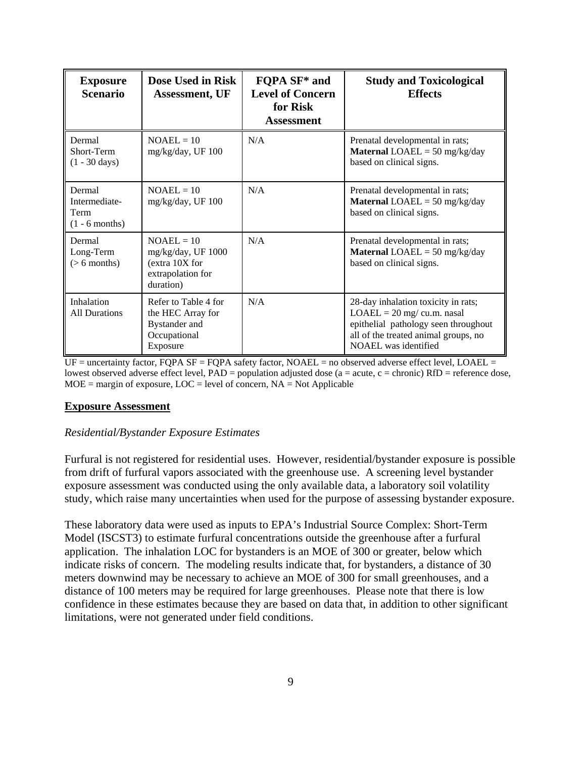| <b>Exposure</b><br><b>Scenario</b>                         | Dose Used in Risk<br><b>Assessment</b> , UF                                            | FQPA SF <sup>*</sup> and<br><b>Level of Concern</b><br>for Risk<br><b>Assessment</b> | <b>Study and Toxicological</b><br><b>Effects</b>                                                                                                                            |
|------------------------------------------------------------|----------------------------------------------------------------------------------------|--------------------------------------------------------------------------------------|-----------------------------------------------------------------------------------------------------------------------------------------------------------------------------|
| Dermal<br>Short-Term<br>$(1 - 30 \text{ days})$            | $NOAEL = 10$<br>mg/kg/day, UF 100                                                      | N/A                                                                                  | Prenatal developmental in rats;<br><b>Maternal LOAEL</b> = 50 mg/kg/day<br>based on clinical signs.                                                                         |
| Dermal<br>Intermediate-<br><b>Term</b><br>$(1 - 6$ months) | $NOAEL = 10$<br>mg/kg/day, UF 100                                                      | N/A                                                                                  | Prenatal developmental in rats;<br><b>Maternal LOAEL</b> = 50 mg/kg/day<br>based on clinical signs.                                                                         |
| Dermal<br>Long-Term<br>$(> 6$ months)                      | $NOAEL = 10$<br>mg/kg/day, UF 1000<br>(extra 10X for<br>extrapolation for<br>duration) | N/A                                                                                  | Prenatal developmental in rats;<br><b>Maternal LOAEL</b> = 50 mg/kg/day<br>based on clinical signs.                                                                         |
| Inhalation<br><b>All Durations</b>                         | Refer to Table 4 for<br>the HEC Array for<br>Bystander and<br>Occupational<br>Exposure | N/A                                                                                  | 28-day inhalation toxicity in rats;<br>$LOAEL = 20$ mg/ cu.m. nasal<br>epithelial pathology seen throughout<br>all of the treated animal groups, no<br>NOAEL was identified |

UF = uncertainty factor, FQPA SF = FQPA safety factor, NOAEL = no observed adverse effect level, LOAEL = lowest observed adverse effect level,  $PAD =$  population adjusted dose ( $a =$  acute,  $c =$  chronic)  $RfD =$  reference dose,  $MOE =$  margin of exposure,  $LOC =$  level of concern,  $NA = Not$  Applicable

#### **Exposure Assessment**

# *Residential/Bystander Exposure Estimates*

Furfural is not registered for residential uses. However, residential/bystander exposure is possible from drift of furfural vapors associated with the greenhouse use. A screening level bystander exposure assessment was conducted using the only available data, a laboratory soil volatility study, which raise many uncertainties when used for the purpose of assessing bystander exposure.

These laboratory data were used as inputs to EPA's Industrial Source Complex: Short-Term Model (ISCST3) to estimate furfural concentrations outside the greenhouse after a furfural application. The inhalation LOC for bystanders is an MOE of 300 or greater, below which indicate risks of concern. The modeling results indicate that, for bystanders, a distance of 30 meters downwind may be necessary to achieve an MOE of 300 for small greenhouses, and a distance of 100 meters may be required for large greenhouses. Please note that there is low confidence in these estimates because they are based on data that, in addition to other significant limitations, were not generated under field conditions.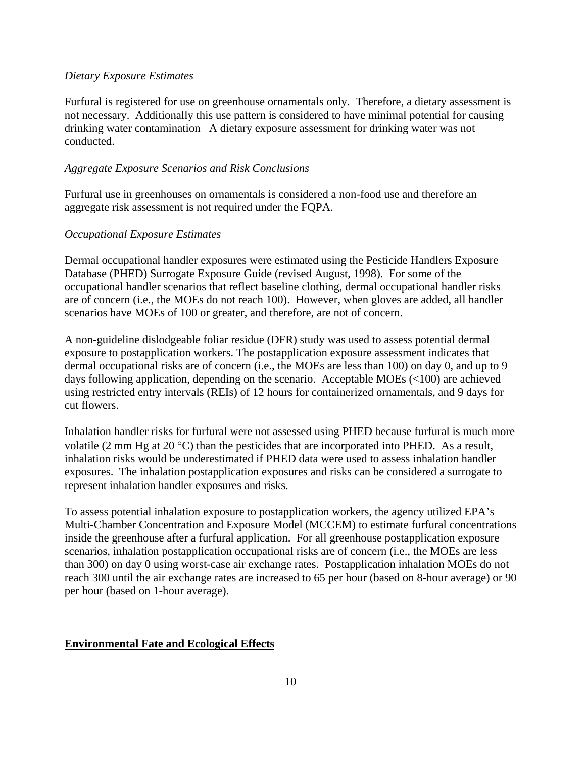#### *Dietary Exposure Estimates*

Furfural is registered for use on greenhouse ornamentals only. Therefore, a dietary assessment is not necessary. Additionally this use pattern is considered to have minimal potential for causing drinking water contamination A dietary exposure assessment for drinking water was not conducted.

#### *Aggregate Exposure Scenarios and Risk Conclusions*

Furfural use in greenhouses on ornamentals is considered a non-food use and therefore an aggregate risk assessment is not required under the FQPA.

#### *Occupational Exposure Estimates*

Dermal occupational handler exposures were estimated using the Pesticide Handlers Exposure Database (PHED) Surrogate Exposure Guide (revised August, 1998). For some of the occupational handler scenarios that reflect baseline clothing, dermal occupational handler risks are of concern (i.e., the MOEs do not reach 100). However, when gloves are added, all handler scenarios have MOEs of 100 or greater, and therefore, are not of concern.

A non-guideline dislodgeable foliar residue (DFR) study was used to assess potential dermal exposure to postapplication workers. The postapplication exposure assessment indicates that dermal occupational risks are of concern (i.e., the MOEs are less than 100) on day 0, and up to 9 days following application, depending on the scenario. Acceptable MOEs (<100) are achieved using restricted entry intervals (REIs) of 12 hours for containerized ornamentals, and 9 days for cut flowers.

Inhalation handler risks for furfural were not assessed using PHED because furfural is much more volatile (2 mm Hg at 20  $^{\circ}$ C) than the pesticides that are incorporated into PHED. As a result, inhalation risks would be underestimated if PHED data were used to assess inhalation handler exposures. The inhalation postapplication exposures and risks can be considered a surrogate to represent inhalation handler exposures and risks.

To assess potential inhalation exposure to postapplication workers, the agency utilized EPA's Multi-Chamber Concentration and Exposure Model (MCCEM) to estimate furfural concentrations inside the greenhouse after a furfural application. For all greenhouse postapplication exposure scenarios, inhalation postapplication occupational risks are of concern (i.e., the MOEs are less than 300) on day 0 using worst-case air exchange rates. Postapplication inhalation MOEs do not reach 300 until the air exchange rates are increased to 65 per hour (based on 8-hour average) or 90 per hour (based on 1-hour average).

#### **Environmental Fate and Ecological Effects**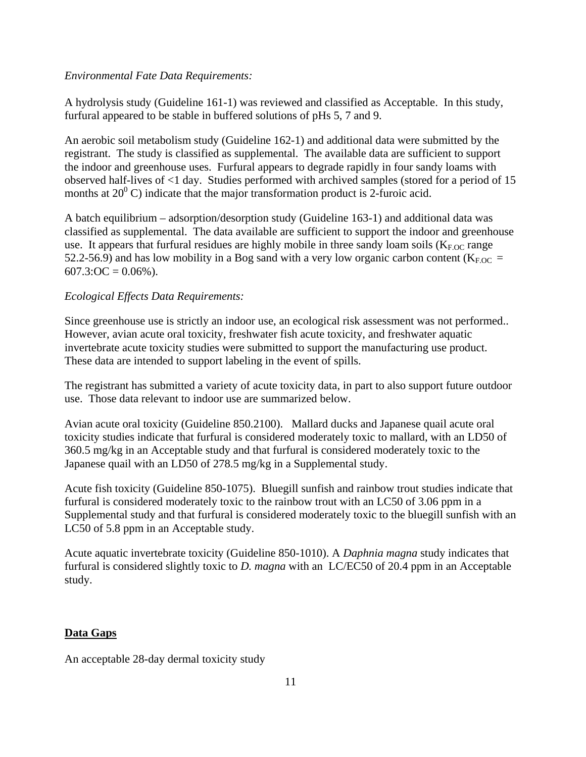#### *Environmental Fate Data Requirements:*

A hydrolysis study (Guideline 161-1) was reviewed and classified as Acceptable. In this study, furfural appeared to be stable in buffered solutions of pHs 5, 7 and 9.

An aerobic soil metabolism study (Guideline 162-1) and additional data were submitted by the registrant. The study is classified as supplemental. The available data are sufficient to support the indoor and greenhouse uses. Furfural appears to degrade rapidly in four sandy loams with observed half-lives of <1 day. Studies performed with archived samples (stored for a period of 15 months at  $20^{\circ}$  C) indicate that the major transformation product is 2-furoic acid.

A batch equilibrium – adsorption/desorption study (Guideline 163-1) and additional data was classified as supplemental. The data available are sufficient to support the indoor and greenhouse use. It appears that furfural residues are highly mobile in three sandy loam soils  $(K_{F,OC}$  range 52.2-56.9) and has low mobility in a Bog sand with a very low organic carbon content ( $K_{F,OC}$  =  $607.3:OC = 0.06\%$ ).

# *Ecological Effects Data Requirements:*

Since greenhouse use is strictly an indoor use, an ecological risk assessment was not performed.. However, avian acute oral toxicity, freshwater fish acute toxicity, and freshwater aquatic invertebrate acute toxicity studies were submitted to support the manufacturing use product. These data are intended to support labeling in the event of spills.

The registrant has submitted a variety of acute toxicity data, in part to also support future outdoor use. Those data relevant to indoor use are summarized below.

Avian acute oral toxicity (Guideline 850.2100). Mallard ducks and Japanese quail acute oral toxicity studies indicate that furfural is considered moderately toxic to mallard, with an LD50 of 360.5 mg/kg in an Acceptable study and that furfural is considered moderately toxic to the Japanese quail with an LD50 of 278.5 mg/kg in a Supplemental study.

Acute fish toxicity (Guideline 850-1075). Bluegill sunfish and rainbow trout studies indicate that furfural is considered moderately toxic to the rainbow trout with an LC50 of 3.06 ppm in a Supplemental study and that furfural is considered moderately toxic to the bluegill sunfish with an LC50 of 5.8 ppm in an Acceptable study.

Acute aquatic invertebrate toxicity (Guideline 850-1010). A *Daphnia magna* study indicates that furfural is considered slightly toxic to *D. magna* with an LC/EC50 of 20.4 ppm in an Acceptable study.

# **Data Gaps**

An acceptable 28-day dermal toxicity study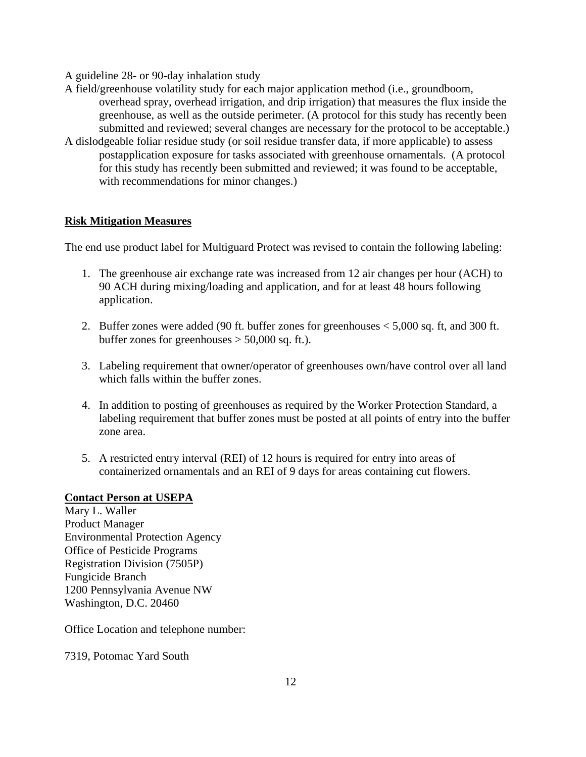A guideline 28- or 90-day inhalation study

- A field/greenhouse volatility study for each major application method (i.e., groundboom, overhead spray, overhead irrigation, and drip irrigation) that measures the flux inside the greenhouse, as well as the outside perimeter. (A protocol for this study has recently been submitted and reviewed; several changes are necessary for the protocol to be acceptable.)
- A dislodgeable foliar residue study (or soil residue transfer data, if more applicable) to assess postapplication exposure for tasks associated with greenhouse ornamentals. (A protocol for this study has recently been submitted and reviewed; it was found to be acceptable, with recommendations for minor changes.)

# **Risk Mitigation Measures**

The end use product label for Multiguard Protect was revised to contain the following labeling:

- 1. The greenhouse air exchange rate was increased from 12 air changes per hour (ACH) to 90 ACH during mixing/loading and application, and for at least 48 hours following application.
- 2. Buffer zones were added (90 ft. buffer zones for greenhouses < 5,000 sq. ft, and 300 ft. buffer zones for greenhouses  $> 50,000$  sq. ft.).
- 3. Labeling requirement that owner/operator of greenhouses own/have control over all land which falls within the buffer zones.
- 4. In addition to posting of greenhouses as required by the Worker Protection Standard, a labeling requirement that buffer zones must be posted at all points of entry into the buffer zone area.
- 5. A restricted entry interval (REI) of 12 hours is required for entry into areas of containerized ornamentals and an REI of 9 days for areas containing cut flowers.

# **Contact Person at USEPA**

Mary L. Waller Product Manager Environmental Protection Agency Office of Pesticide Programs Registration Division (7505P) Fungicide Branch 1200 Pennsylvania Avenue NW Washington, D.C. 20460

Office Location and telephone number:

7319, Potomac Yard South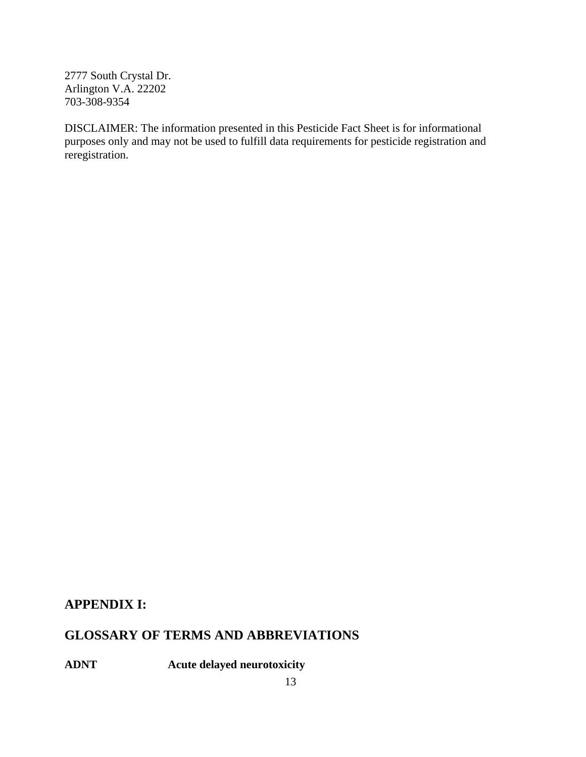2777 South Crystal Dr. Arlington V.A. 22202 703-308-9354

DISCLAIMER: The information presented in this Pesticide Fact Sheet is for informational purposes only and may not be used to fulfill data requirements for pesticide registration and reregistration.

# **APPENDIX I:**

# **GLOSSARY OF TERMS AND ABBREVIATIONS**

**ADNT Acute delayed neurotoxicity**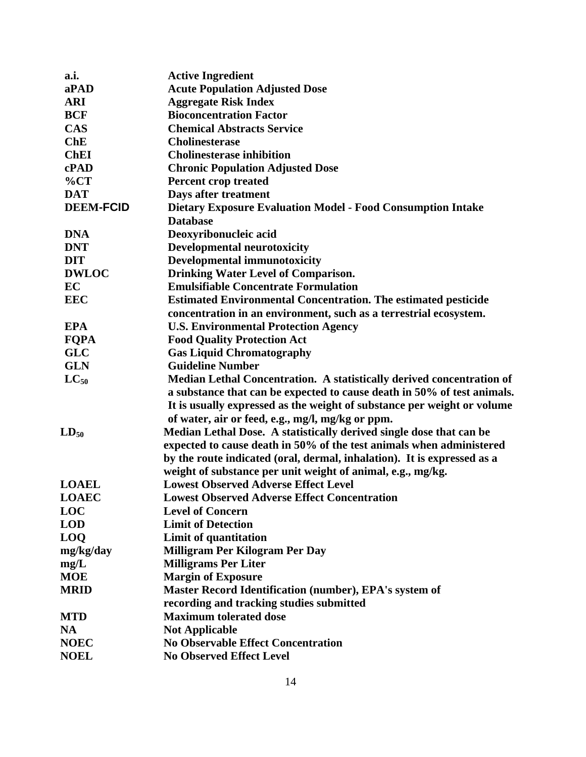| a.i.             | <b>Active Ingredient</b>                                                |
|------------------|-------------------------------------------------------------------------|
| aPAD             | <b>Acute Population Adjusted Dose</b>                                   |
| <b>ARI</b>       | <b>Aggregate Risk Index</b>                                             |
| <b>BCF</b>       | <b>Bioconcentration Factor</b>                                          |
| <b>CAS</b>       | <b>Chemical Abstracts Service</b>                                       |
| ChE              | <b>Cholinesterase</b>                                                   |
| <b>ChEI</b>      | <b>Cholinesterase inhibition</b>                                        |
| cPAD             | <b>Chronic Population Adjusted Dose</b>                                 |
| $\%CT$           | <b>Percent crop treated</b>                                             |
| <b>DAT</b>       | Days after treatment                                                    |
| <b>DEEM-FCID</b> | <b>Dietary Exposure Evaluation Model - Food Consumption Intake</b>      |
|                  | <b>Database</b>                                                         |
| <b>DNA</b>       | Deoxyribonucleic acid                                                   |
| <b>DNT</b>       | <b>Developmental neurotoxicity</b>                                      |
| <b>DIT</b>       | <b>Developmental immunotoxicity</b>                                     |
| <b>DWLOC</b>     | <b>Drinking Water Level of Comparison.</b>                              |
| EC               | <b>Emulsifiable Concentrate Formulation</b>                             |
| <b>EEC</b>       | <b>Estimated Environmental Concentration. The estimated pesticide</b>   |
|                  | concentration in an environment, such as a terrestrial ecosystem.       |
| <b>EPA</b>       | <b>U.S. Environmental Protection Agency</b>                             |
| <b>FQPA</b>      | <b>Food Quality Protection Act</b>                                      |
| <b>GLC</b>       | <b>Gas Liquid Chromatography</b>                                        |
| <b>GLN</b>       | <b>Guideline Number</b>                                                 |
| $LC_{50}$        | Median Lethal Concentration. A statistically derived concentration of   |
|                  | a substance that can be expected to cause death in 50% of test animals. |
|                  | It is usually expressed as the weight of substance per weight or volume |
|                  | of water, air or feed, e.g., mg/l, mg/kg or ppm.                        |
| $LD_{50}$        | Median Lethal Dose. A statistically derived single dose that can be     |
|                  | expected to cause death in 50% of the test animals when administered    |
|                  | by the route indicated (oral, dermal, inhalation). It is expressed as a |
|                  | weight of substance per unit weight of animal, e.g., mg/kg.             |
| <b>LOAEL</b>     | <b>Lowest Observed Adverse Effect Level</b>                             |
| <b>LOAEC</b>     | <b>Lowest Observed Adverse Effect Concentration</b>                     |
| <b>LOC</b>       | <b>Level of Concern</b>                                                 |
| <b>LOD</b>       | <b>Limit of Detection</b>                                               |
| <b>LOQ</b>       | Limit of quantitation                                                   |
| mg/kg/day        | Milligram Per Kilogram Per Day                                          |
| mg/L             | <b>Milligrams Per Liter</b>                                             |
| <b>MOE</b>       | <b>Margin of Exposure</b>                                               |
| <b>MRID</b>      | Master Record Identification (number), EPA's system of                  |
|                  | recording and tracking studies submitted                                |
| <b>MTD</b>       | <b>Maximum tolerated dose</b>                                           |
| NA               | <b>Not Applicable</b>                                                   |
| <b>NOEC</b>      | <b>No Observable Effect Concentration</b>                               |
| <b>NOEL</b>      | <b>No Observed Effect Level</b>                                         |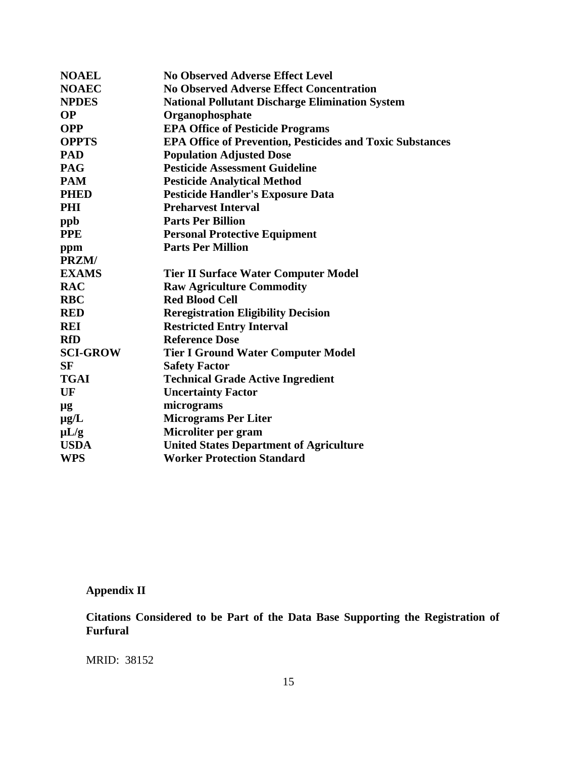| <b>NOAEL</b>    | <b>No Observed Adverse Effect Level</b>                          |
|-----------------|------------------------------------------------------------------|
| <b>NOAEC</b>    | <b>No Observed Adverse Effect Concentration</b>                  |
| <b>NPDES</b>    | <b>National Pollutant Discharge Elimination System</b>           |
| <b>OP</b>       | Organophosphate                                                  |
| <b>OPP</b>      | <b>EPA Office of Pesticide Programs</b>                          |
| <b>OPPTS</b>    | <b>EPA Office of Prevention, Pesticides and Toxic Substances</b> |
| <b>PAD</b>      | <b>Population Adjusted Dose</b>                                  |
| <b>PAG</b>      | <b>Pesticide Assessment Guideline</b>                            |
| <b>PAM</b>      | <b>Pesticide Analytical Method</b>                               |
| <b>PHED</b>     | <b>Pesticide Handler's Exposure Data</b>                         |
| <b>PHI</b>      | <b>Preharvest Interval</b>                                       |
| ppb             | <b>Parts Per Billion</b>                                         |
| <b>PPE</b>      | <b>Personal Protective Equipment</b>                             |
| ppm             | <b>Parts Per Million</b>                                         |
| PRZM/           |                                                                  |
| <b>EXAMS</b>    | <b>Tier II Surface Water Computer Model</b>                      |
| <b>RAC</b>      | <b>Raw Agriculture Commodity</b>                                 |
| <b>RBC</b>      | <b>Red Blood Cell</b>                                            |
| <b>RED</b>      | <b>Reregistration Eligibility Decision</b>                       |
| <b>REI</b>      | <b>Restricted Entry Interval</b>                                 |
| <b>RfD</b>      | <b>Reference Dose</b>                                            |
| <b>SCI-GROW</b> | <b>Tier I Ground Water Computer Model</b>                        |
| <b>SF</b>       | <b>Safety Factor</b>                                             |
| <b>TGAI</b>     | <b>Technical Grade Active Ingredient</b>                         |
| UF              | <b>Uncertainty Factor</b>                                        |
| μg              | micrograms                                                       |
| $\mu$ g/L       | <b>Micrograms Per Liter</b>                                      |
| $\mu L/g$       | Microliter per gram                                              |
| <b>USDA</b>     | <b>United States Department of Agriculture</b>                   |
| <b>WPS</b>      | <b>Worker Protection Standard</b>                                |

# **Appendix II**

**Citations Considered to be Part of the Data Base Supporting the Registration of Furfural**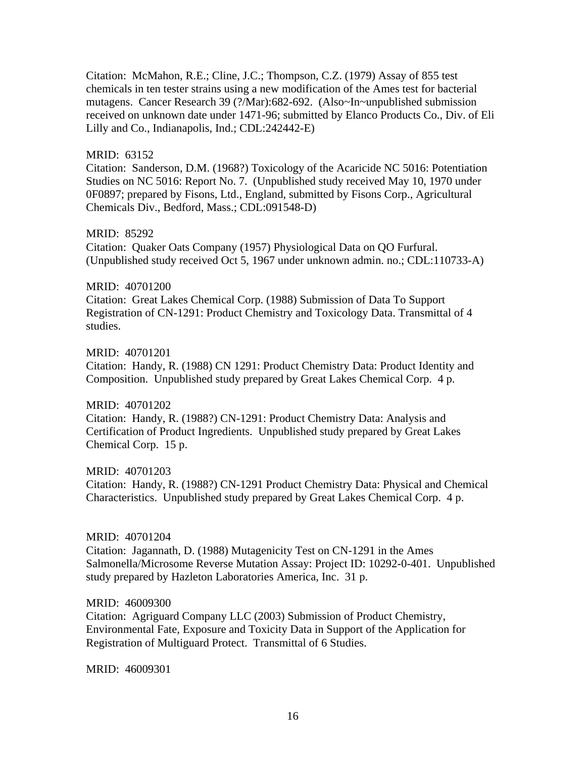Citation: McMahon, R.E.; Cline, J.C.; Thompson, C.Z. (1979) Assay of 855 test chemicals in ten tester strains using a new modification of the Ames test for bacterial mutagens. Cancer Research 39 (?/Mar):682-692. (Also~In~unpublished submission received on unknown date under 1471-96; submitted by Elanco Products Co., Div. of Eli Lilly and Co., Indianapolis, Ind.; CDL:242442-E)

# MRID: 63152

Citation: Sanderson, D.M. (1968?) Toxicology of the Acaricide NC 5016: Potentiation Studies on NC 5016: Report No. 7. (Unpublished study received May 10, 1970 under 0F0897; prepared by Fisons, Ltd., England, submitted by Fisons Corp., Agricultural Chemicals Div., Bedford, Mass.; CDL:091548-D)

#### MRID: 85292

Citation: Quaker Oats Company (1957) Physiological Data on QO Furfural. (Unpublished study received Oct 5, 1967 under unknown admin. no.; CDL:110733-A)

#### MRID: 40701200

Citation: Great Lakes Chemical Corp. (1988) Submission of Data To Support Registration of CN-1291: Product Chemistry and Toxicology Data. Transmittal of 4 studies.

# MRID: 40701201

Citation: Handy, R. (1988) CN 1291: Product Chemistry Data: Product Identity and Composition. Unpublished study prepared by Great Lakes Chemical Corp. 4 p.

# MRID: 40701202

Citation: Handy, R. (1988?) CN-1291: Product Chemistry Data: Analysis and Certification of Product Ingredients. Unpublished study prepared by Great Lakes Chemical Corp. 15 p.

# MRID: 40701203

Citation: Handy, R. (1988?) CN-1291 Product Chemistry Data: Physical and Chemical Characteristics. Unpublished study prepared by Great Lakes Chemical Corp. 4 p.

#### MRID: 40701204

Citation: Jagannath, D. (1988) Mutagenicity Test on CN-1291 in the Ames Salmonella/Microsome Reverse Mutation Assay: Project ID: 10292-0-401. Unpublished study prepared by Hazleton Laboratories America, Inc. 31 p.

#### MRID: 46009300

Citation: Agriguard Company LLC (2003) Submission of Product Chemistry, Environmental Fate, Exposure and Toxicity Data in Support of the Application for Registration of Multiguard Protect. Transmittal of 6 Studies.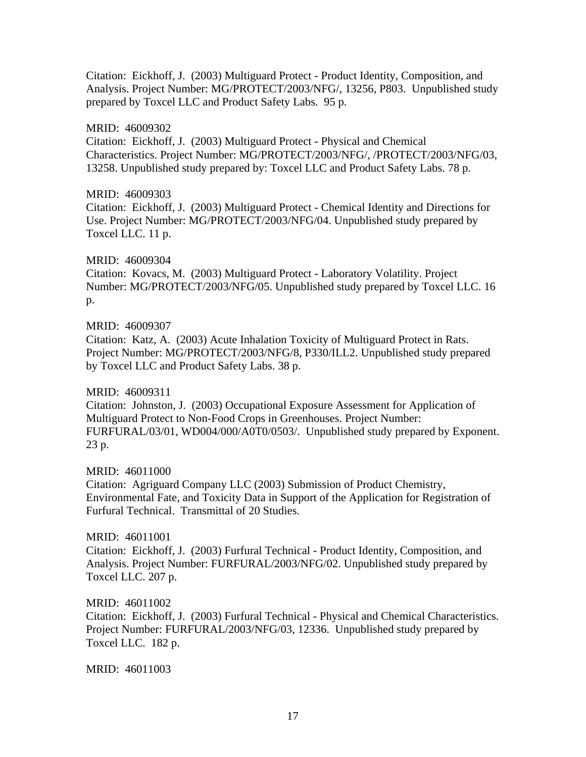Citation: Eickhoff, J. (2003) Multiguard Protect - Product Identity, Composition, and Analysis. Project Number: MG/PROTECT/2003/NFG/, 13256, P803. Unpublished study prepared by Toxcel LLC and Product Safety Labs. 95 p.

# MRID: 46009302

Citation: Eickhoff, J. (2003) Multiguard Protect - Physical and Chemical Characteristics. Project Number: MG/PROTECT/2003/NFG/, /PROTECT/2003/NFG/03, 13258. Unpublished study prepared by: Toxcel LLC and Product Safety Labs. 78 p.

## MRID: 46009303

Citation: Eickhoff, J. (2003) Multiguard Protect - Chemical Identity and Directions for Use. Project Number: MG/PROTECT/2003/NFG/04. Unpublished study prepared by Toxcel LLC. 11 p.

# MRID: 46009304

Citation: Kovacs, M. (2003) Multiguard Protect - Laboratory Volatility. Project Number: MG/PROTECT/2003/NFG/05. Unpublished study prepared by Toxcel LLC. 16 p.

#### MRID: 46009307

Citation: Katz, A. (2003) Acute Inhalation Toxicity of Multiguard Protect in Rats. Project Number: MG/PROTECT/2003/NFG/8, P330/ILL2. Unpublished study prepared by Toxcel LLC and Product Safety Labs. 38 p.

# MRID: 46009311

Citation: Johnston, J. (2003) Occupational Exposure Assessment for Application of Multiguard Protect to Non-Food Crops in Greenhouses. Project Number: FURFURAL/03/01, WD004/000/A0T0/0503/. Unpublished study prepared by Exponent. 23 p.

MRID: 46011000 Citation: Agriguard Company LLC (2003) Submission of Product Chemistry, Environmental Fate, and Toxicity Data in Support of the Application for Registration of Furfural Technical. Transmittal of 20 Studies.

# MRID: 46011001 Citation: Eickhoff, J. (2003) Furfural Technical - Product Identity, Composition, and Analysis. Project Number: FURFURAL/2003/NFG/02. Unpublished study prepared by Toxcel LLC. 207 p.

#### MRID: 46011002

Citation: Eickhoff, J. (2003) Furfural Technical - Physical and Chemical Characteristics. Project Number: FURFURAL/2003/NFG/03, 12336. Unpublished study prepared by Toxcel LLC. 182 p.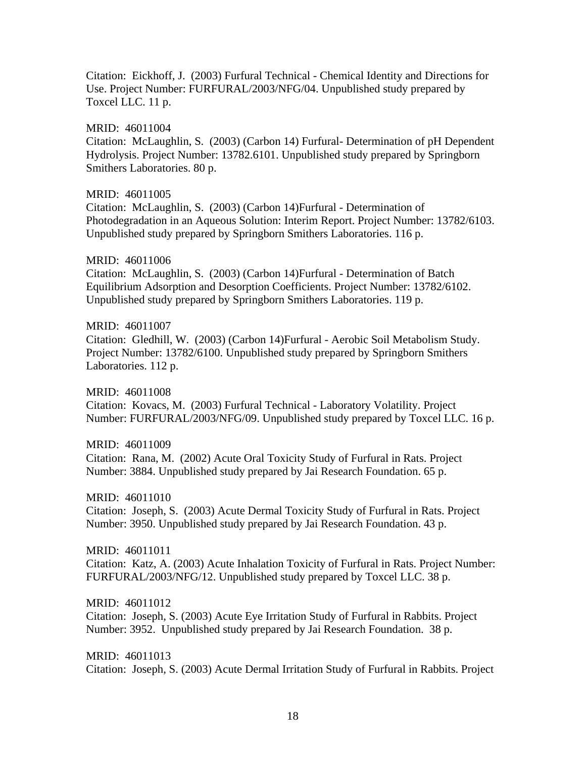Citation: Eickhoff, J. (2003) Furfural Technical - Chemical Identity and Directions for Use. Project Number: FURFURAL/2003/NFG/04. Unpublished study prepared by Toxcel LLC. 11 p.

MRID: 46011004 Citation: McLaughlin, S. (2003) (Carbon 14) Furfural- Determination of pH Dependent Hydrolysis. Project Number: 13782.6101. Unpublished study prepared by Springborn Smithers Laboratories. 80 p.

#### MRID: 46011005

Citation: McLaughlin, S. (2003) (Carbon 14)Furfural - Determination of Photodegradation in an Aqueous Solution: Interim Report. Project Number: 13782/6103. Unpublished study prepared by Springborn Smithers Laboratories. 116 p.

MRID: 46011006

Citation: McLaughlin, S. (2003) (Carbon 14)Furfural - Determination of Batch Equilibrium Adsorption and Desorption Coefficients. Project Number: 13782/6102. Unpublished study prepared by Springborn Smithers Laboratories. 119 p.

#### MRID: 46011007

Citation: Gledhill, W. (2003) (Carbon 14)Furfural - Aerobic Soil Metabolism Study. Project Number: 13782/6100. Unpublished study prepared by Springborn Smithers Laboratories. 112 p.

MRID: 46011008 Citation: Kovacs, M. (2003) Furfural Technical - Laboratory Volatility. Project Number: FURFURAL/2003/NFG/09. Unpublished study prepared by Toxcel LLC. 16 p.

MRID: 46011009 Citation: Rana, M. (2002) Acute Oral Toxicity Study of Furfural in Rats. Project Number: 3884. Unpublished study prepared by Jai Research Foundation. 65 p.

MRID: 46011010 Citation: Joseph, S. (2003) Acute Dermal Toxicity Study of Furfural in Rats. Project Number: 3950. Unpublished study prepared by Jai Research Foundation. 43 p.

MRID: 46011011 Citation: Katz, A. (2003) Acute Inhalation Toxicity of Furfural in Rats. Project Number: FURFURAL/2003/NFG/12. Unpublished study prepared by Toxcel LLC. 38 p.

MRID: 46011012 Citation: Joseph, S. (2003) Acute Eye Irritation Study of Furfural in Rabbits. Project Number: 3952. Unpublished study prepared by Jai Research Foundation. 38 p.

MRID: 46011013 Citation: Joseph, S. (2003) Acute Dermal Irritation Study of Furfural in Rabbits. Project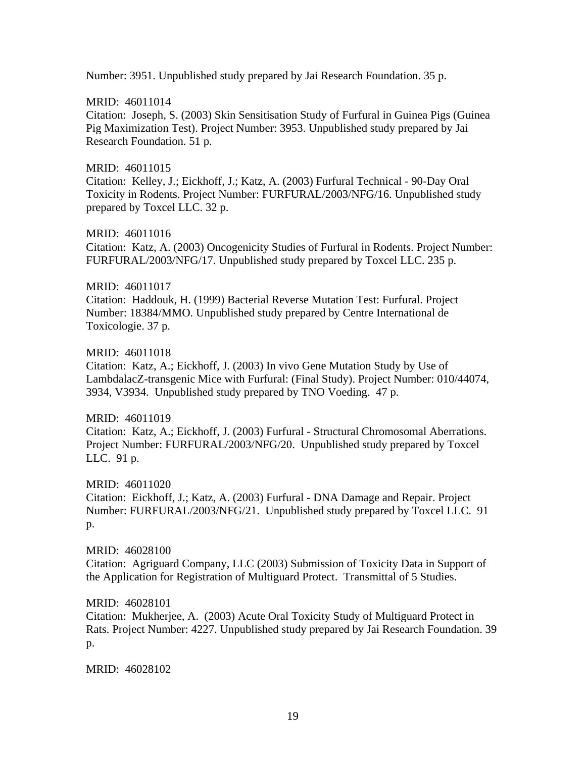Number: 3951. Unpublished study prepared by Jai Research Foundation. 35 p.

# MRID: 46011014

Citation: Joseph, S. (2003) Skin Sensitisation Study of Furfural in Guinea Pigs (Guinea Pig Maximization Test). Project Number: 3953. Unpublished study prepared by Jai Research Foundation. 51 p.

# MRID: 46011015

Citation: Kelley, J.; Eickhoff, J.; Katz, A. (2003) Furfural Technical - 90-Day Oral Toxicity in Rodents. Project Number: FURFURAL/2003/NFG/16. Unpublished study prepared by Toxcel LLC. 32 p.

MRID: 46011016 Citation: Katz, A. (2003) Oncogenicity Studies of Furfural in Rodents. Project Number: FURFURAL/2003/NFG/17. Unpublished study prepared by Toxcel LLC. 235 p.

# MRID: 46011017

Citation: Haddouk, H. (1999) Bacterial Reverse Mutation Test: Furfural. Project Number: 18384/MMO. Unpublished study prepared by Centre International de Toxicologie. 37 p.

# MRID: 46011018

Citation: Katz, A.; Eickhoff, J. (2003) In vivo Gene Mutation Study by Use of LambdalacZ-transgenic Mice with Furfural: (Final Study). Project Number: 010/44074, 3934, V3934. Unpublished study prepared by TNO Voeding. 47 p.

# MRID: 46011019

Citation: Katz, A.; Eickhoff, J. (2003) Furfural - Structural Chromosomal Aberrations. Project Number: FURFURAL/2003/NFG/20. Unpublished study prepared by Toxcel LLC. 91 p.

MRID: 46011020 Citation: Eickhoff, J.; Katz, A. (2003) Furfural - DNA Damage and Repair. Project Number: FURFURAL/2003/NFG/21. Unpublished study prepared by Toxcel LLC. 91 p.

MRID: 46028100 Citation: Agriguard Company, LLC (2003) Submission of Toxicity Data in Support of the Application for Registration of Multiguard Protect. Transmittal of 5 Studies.

# MRID: 46028101

Citation: Mukherjee, A. (2003) Acute Oral Toxicity Study of Multiguard Protect in Rats. Project Number: 4227. Unpublished study prepared by Jai Research Foundation. 39 p.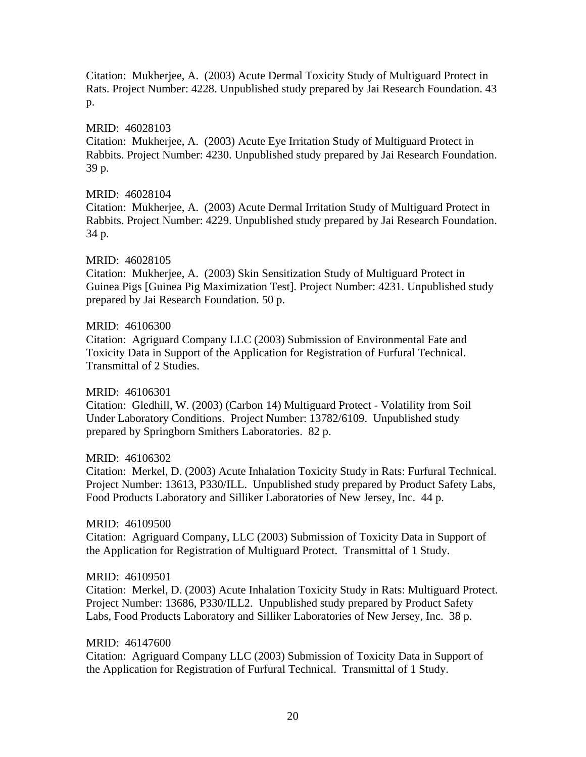Citation: Mukherjee, A. (2003) Acute Dermal Toxicity Study of Multiguard Protect in Rats. Project Number: 4228. Unpublished study prepared by Jai Research Foundation. 43 p.

# MRID: 46028103

Citation: Mukherjee, A. (2003) Acute Eye Irritation Study of Multiguard Protect in Rabbits. Project Number: 4230. Unpublished study prepared by Jai Research Foundation. 39 p.

## MRID: 46028104

Citation: Mukherjee, A. (2003) Acute Dermal Irritation Study of Multiguard Protect in Rabbits. Project Number: 4229. Unpublished study prepared by Jai Research Foundation. 34 p.

# MRID: 46028105

Citation: Mukherjee, A. (2003) Skin Sensitization Study of Multiguard Protect in Guinea Pigs [Guinea Pig Maximization Test]. Project Number: 4231. Unpublished study prepared by Jai Research Foundation. 50 p.

#### MRID: 46106300

Citation: Agriguard Company LLC (2003) Submission of Environmental Fate and Toxicity Data in Support of the Application for Registration of Furfural Technical. Transmittal of 2 Studies.

# MRID: 46106301

Citation: Gledhill, W. (2003) (Carbon 14) Multiguard Protect - Volatility from Soil Under Laboratory Conditions. Project Number: 13782/6109. Unpublished study prepared by Springborn Smithers Laboratories. 82 p.

# MRID: 46106302

Citation: Merkel, D. (2003) Acute Inhalation Toxicity Study in Rats: Furfural Technical. Project Number: 13613, P330/ILL. Unpublished study prepared by Product Safety Labs, Food Products Laboratory and Silliker Laboratories of New Jersey, Inc. 44 p.

# MRID: 46109500

Citation: Agriguard Company, LLC (2003) Submission of Toxicity Data in Support of the Application for Registration of Multiguard Protect. Transmittal of 1 Study.

# MRID: 46109501

Citation: Merkel, D. (2003) Acute Inhalation Toxicity Study in Rats: Multiguard Protect. Project Number: 13686, P330/ILL2. Unpublished study prepared by Product Safety Labs, Food Products Laboratory and Silliker Laboratories of New Jersey, Inc. 38 p.

#### MRID: 46147600

Citation: Agriguard Company LLC (2003) Submission of Toxicity Data in Support of the Application for Registration of Furfural Technical. Transmittal of 1 Study.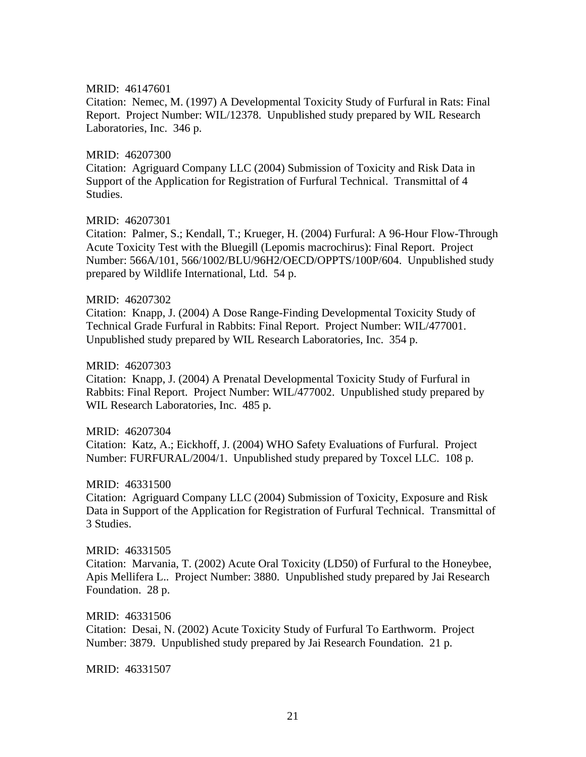Citation: Nemec, M. (1997) A Developmental Toxicity Study of Furfural in Rats: Final Report. Project Number: WIL/12378. Unpublished study prepared by WIL Research Laboratories, Inc. 346 p.

#### MRID: 46207300

Citation: Agriguard Company LLC (2004) Submission of Toxicity and Risk Data in Support of the Application for Registration of Furfural Technical. Transmittal of 4 Studies.

#### MRID: 46207301

Citation: Palmer, S.; Kendall, T.; Krueger, H. (2004) Furfural: A 96-Hour Flow-Through Acute Toxicity Test with the Bluegill (Lepomis macrochirus): Final Report. Project Number: 566A/101, 566/1002/BLU/96H2/OECD/OPPTS/100P/604. Unpublished study prepared by Wildlife International, Ltd. 54 p.

#### MRID: 46207302

Citation: Knapp, J. (2004) A Dose Range-Finding Developmental Toxicity Study of Technical Grade Furfural in Rabbits: Final Report. Project Number: WIL/477001. Unpublished study prepared by WIL Research Laboratories, Inc. 354 p.

#### MRID: 46207303

Citation: Knapp, J. (2004) A Prenatal Developmental Toxicity Study of Furfural in Rabbits: Final Report. Project Number: WIL/477002. Unpublished study prepared by WIL Research Laboratories, Inc. 485 p.

#### MRID: 46207304

Citation: Katz, A.; Eickhoff, J. (2004) WHO Safety Evaluations of Furfural. Project Number: FURFURAL/2004/1. Unpublished study prepared by Toxcel LLC. 108 p.

#### MRID: 46331500

Citation: Agriguard Company LLC (2004) Submission of Toxicity, Exposure and Risk Data in Support of the Application for Registration of Furfural Technical. Transmittal of 3 Studies.

#### MRID: 46331505

Citation: Marvania, T. (2002) Acute Oral Toxicity (LD50) of Furfural to the Honeybee, Apis Mellifera L.. Project Number: 3880. Unpublished study prepared by Jai Research Foundation. 28 p.

#### MRID: 46331506

Citation: Desai, N. (2002) Acute Toxicity Study of Furfural To Earthworm. Project Number: 3879. Unpublished study prepared by Jai Research Foundation. 21 p.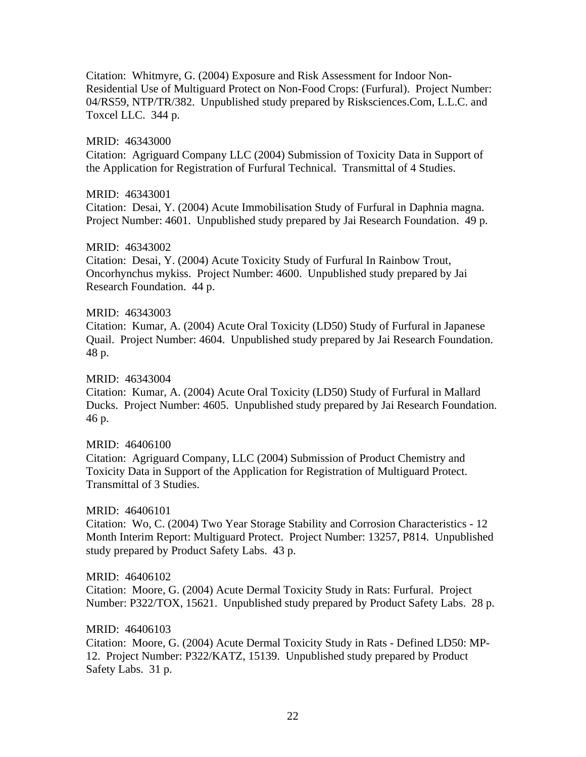Citation: Whitmyre, G. (2004) Exposure and Risk Assessment for Indoor Non-Residential Use of Multiguard Protect on Non-Food Crops: (Furfural). Project Number: 04/RS59, NTP/TR/382. Unpublished study prepared by Risksciences.Com, L.L.C. and Toxcel LLC. 344 p.

# MRID: 46343000

Citation: Agriguard Company LLC (2004) Submission of Toxicity Data in Support of the Application for Registration of Furfural Technical. Transmittal of 4 Studies.

# MRID: 46343001

Citation: Desai, Y. (2004) Acute Immobilisation Study of Furfural in Daphnia magna. Project Number: 4601. Unpublished study prepared by Jai Research Foundation. 49 p.

#### MRID: 46343002

Citation: Desai, Y. (2004) Acute Toxicity Study of Furfural In Rainbow Trout, Oncorhynchus mykiss. Project Number: 4600. Unpublished study prepared by Jai Research Foundation. 44 p.

#### MRID: 46343003

Citation: Kumar, A. (2004) Acute Oral Toxicity (LD50) Study of Furfural in Japanese Quail. Project Number: 4604. Unpublished study prepared by Jai Research Foundation. 48 p.

MRID: 46343004

Citation: Kumar, A. (2004) Acute Oral Toxicity (LD50) Study of Furfural in Mallard Ducks. Project Number: 4605. Unpublished study prepared by Jai Research Foundation. 46 p.

#### MRID: 46406100

Citation: Agriguard Company, LLC (2004) Submission of Product Chemistry and Toxicity Data in Support of the Application for Registration of Multiguard Protect. Transmittal of 3 Studies.

# MRID: 46406101

Citation: Wo, C. (2004) Two Year Storage Stability and Corrosion Characteristics - 12 Month Interim Report: Multiguard Protect. Project Number: 13257, P814. Unpublished study prepared by Product Safety Labs. 43 p.

# MRID: 46406102

Citation: Moore, G. (2004) Acute Dermal Toxicity Study in Rats: Furfural. Project Number: P322/TOX, 15621. Unpublished study prepared by Product Safety Labs. 28 p.

# MRID: 46406103

Citation: Moore, G. (2004) Acute Dermal Toxicity Study in Rats - Defined LD50: MP-12. Project Number: P322/KATZ, 15139. Unpublished study prepared by Product Safety Labs. 31 p.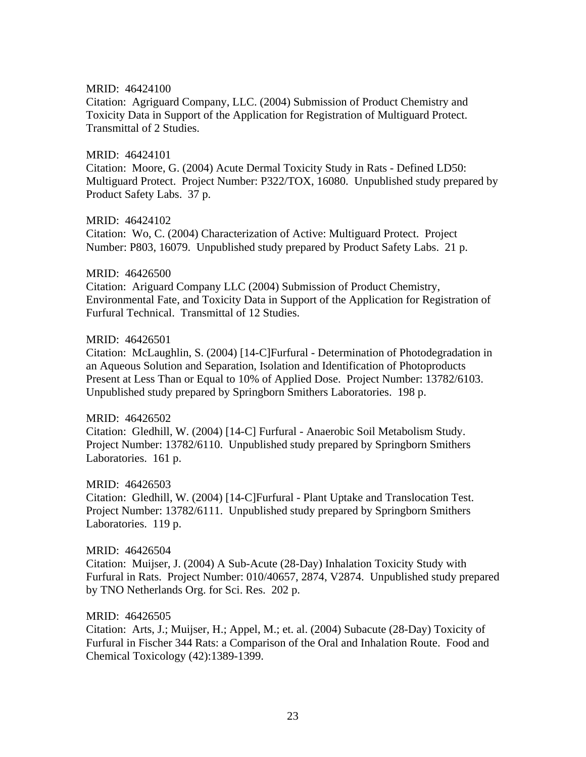Citation: Agriguard Company, LLC. (2004) Submission of Product Chemistry and Toxicity Data in Support of the Application for Registration of Multiguard Protect. Transmittal of 2 Studies.

#### MRID: 46424101

Citation: Moore, G. (2004) Acute Dermal Toxicity Study in Rats - Defined LD50: Multiguard Protect. Project Number: P322/TOX, 16080. Unpublished study prepared by Product Safety Labs. 37 p.

#### MRID: 46424102

Citation: Wo, C. (2004) Characterization of Active: Multiguard Protect. Project Number: P803, 16079. Unpublished study prepared by Product Safety Labs. 21 p.

#### MRID: 46426500

Citation: Ariguard Company LLC (2004) Submission of Product Chemistry, Environmental Fate, and Toxicity Data in Support of the Application for Registration of Furfural Technical. Transmittal of 12 Studies.

#### MRID: 46426501

Citation: McLaughlin, S. (2004) [14-C]Furfural - Determination of Photodegradation in an Aqueous Solution and Separation, Isolation and Identification of Photoproducts Present at Less Than or Equal to 10% of Applied Dose. Project Number: 13782/6103. Unpublished study prepared by Springborn Smithers Laboratories. 198 p.

# MRID: 46426502

Citation: Gledhill, W. (2004) [14-C] Furfural - Anaerobic Soil Metabolism Study. Project Number: 13782/6110. Unpublished study prepared by Springborn Smithers Laboratories. 161 p.

# MRID: 46426503

Citation: Gledhill, W. (2004) [14-C]Furfural - Plant Uptake and Translocation Test. Project Number: 13782/6111. Unpublished study prepared by Springborn Smithers Laboratories. 119 p.

#### MRID: 46426504

Citation: Muijser, J. (2004) A Sub-Acute (28-Day) Inhalation Toxicity Study with Furfural in Rats. Project Number: 010/40657, 2874, V2874. Unpublished study prepared by TNO Netherlands Org. for Sci. Res. 202 p.

# MRID: 46426505

Citation: Arts, J.; Muijser, H.; Appel, M.; et. al. (2004) Subacute (28-Day) Toxicity of Furfural in Fischer 344 Rats: a Comparison of the Oral and Inhalation Route. Food and Chemical Toxicology (42):1389-1399.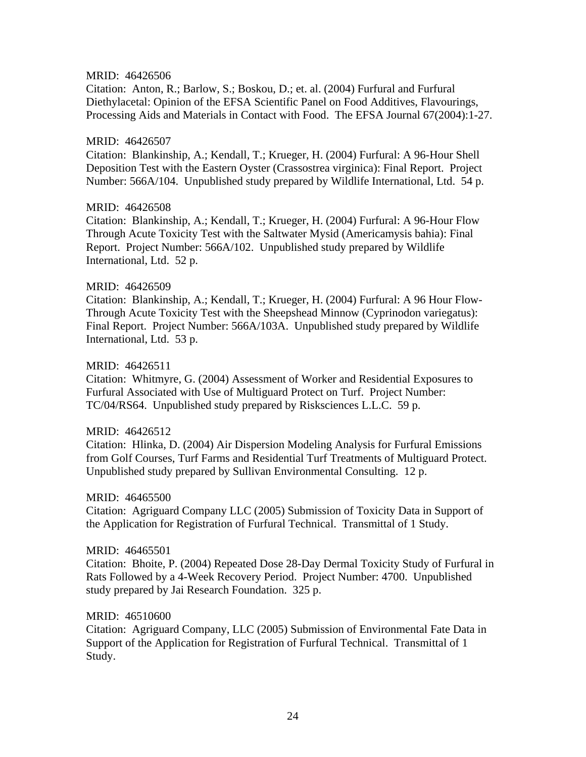Citation: Anton, R.; Barlow, S.; Boskou, D.; et. al. (2004) Furfural and Furfural Diethylacetal: Opinion of the EFSA Scientific Panel on Food Additives, Flavourings, Processing Aids and Materials in Contact with Food. The EFSA Journal 67(2004):1-27.

#### MRID: 46426507

Citation: Blankinship, A.; Kendall, T.; Krueger, H. (2004) Furfural: A 96-Hour Shell Deposition Test with the Eastern Oyster (Crassostrea virginica): Final Report. Project Number: 566A/104. Unpublished study prepared by Wildlife International, Ltd. 54 p.

# MRID: 46426508

Citation: Blankinship, A.; Kendall, T.; Krueger, H. (2004) Furfural: A 96-Hour Flow Through Acute Toxicity Test with the Saltwater Mysid (Americamysis bahia): Final Report. Project Number: 566A/102. Unpublished study prepared by Wildlife International, Ltd. 52 p.

#### MRID: 46426509

Citation: Blankinship, A.; Kendall, T.; Krueger, H. (2004) Furfural: A 96 Hour Flow-Through Acute Toxicity Test with the Sheepshead Minnow (Cyprinodon variegatus): Final Report. Project Number: 566A/103A. Unpublished study prepared by Wildlife International, Ltd. 53 p.

#### MRID: 46426511

Citation: Whitmyre, G. (2004) Assessment of Worker and Residential Exposures to Furfural Associated with Use of Multiguard Protect on Turf. Project Number: TC/04/RS64. Unpublished study prepared by Risksciences L.L.C. 59 p.

# MRID: 46426512

Citation: Hlinka, D. (2004) Air Dispersion Modeling Analysis for Furfural Emissions from Golf Courses, Turf Farms and Residential Turf Treatments of Multiguard Protect. Unpublished study prepared by Sullivan Environmental Consulting. 12 p.

#### MRID: 46465500

Citation: Agriguard Company LLC (2005) Submission of Toxicity Data in Support of the Application for Registration of Furfural Technical. Transmittal of 1 Study.

#### MRID: 46465501

Citation: Bhoite, P. (2004) Repeated Dose 28-Day Dermal Toxicity Study of Furfural in Rats Followed by a 4-Week Recovery Period. Project Number: 4700. Unpublished study prepared by Jai Research Foundation. 325 p.

# MRID: 46510600

Citation: Agriguard Company, LLC (2005) Submission of Environmental Fate Data in Support of the Application for Registration of Furfural Technical. Transmittal of 1 Study.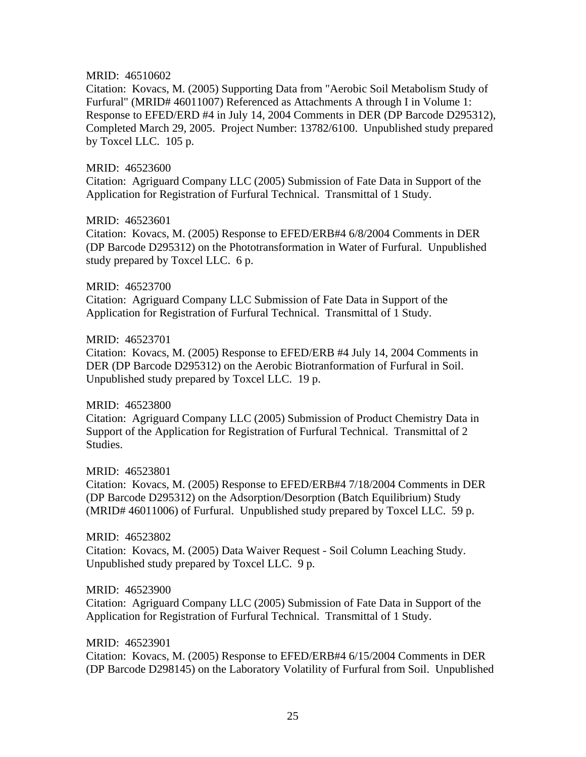Citation: Kovacs, M. (2005) Supporting Data from "Aerobic Soil Metabolism Study of Furfural" (MRID# 46011007) Referenced as Attachments A through I in Volume 1: Response to EFED/ERD #4 in July 14, 2004 Comments in DER (DP Barcode D295312), Completed March 29, 2005. Project Number: 13782/6100. Unpublished study prepared by Toxcel LLC. 105 p.

#### MRID: 46523600

Citation: Agriguard Company LLC (2005) Submission of Fate Data in Support of the Application for Registration of Furfural Technical. Transmittal of 1 Study.

#### MRID: 46523601

Citation: Kovacs, M. (2005) Response to EFED/ERB#4 6/8/2004 Comments in DER (DP Barcode D295312) on the Phototransformation in Water of Furfural. Unpublished study prepared by Toxcel LLC. 6 p.

#### MRID: 46523700

Citation: Agriguard Company LLC Submission of Fate Data in Support of the Application for Registration of Furfural Technical. Transmittal of 1 Study.

#### MRID: 46523701

Citation: Kovacs, M. (2005) Response to EFED/ERB #4 July 14, 2004 Comments in DER (DP Barcode D295312) on the Aerobic Biotranformation of Furfural in Soil. Unpublished study prepared by Toxcel LLC. 19 p.

# MRID: 46523800

Citation: Agriguard Company LLC (2005) Submission of Product Chemistry Data in Support of the Application for Registration of Furfural Technical. Transmittal of 2 Studies.

# MRID: 46523801

Citation: Kovacs, M. (2005) Response to EFED/ERB#4 7/18/2004 Comments in DER (DP Barcode D295312) on the Adsorption/Desorption (Batch Equilibrium) Study (MRID# 46011006) of Furfural. Unpublished study prepared by Toxcel LLC. 59 p.

MRID: 46523802 Citation: Kovacs, M. (2005) Data Waiver Request - Soil Column Leaching Study. Unpublished study prepared by Toxcel LLC. 9 p.

# MRID: 46523900

Citation: Agriguard Company LLC (2005) Submission of Fate Data in Support of the Application for Registration of Furfural Technical. Transmittal of 1 Study.

#### MRID: 46523901

Citation: Kovacs, M. (2005) Response to EFED/ERB#4 6/15/2004 Comments in DER (DP Barcode D298145) on the Laboratory Volatility of Furfural from Soil. Unpublished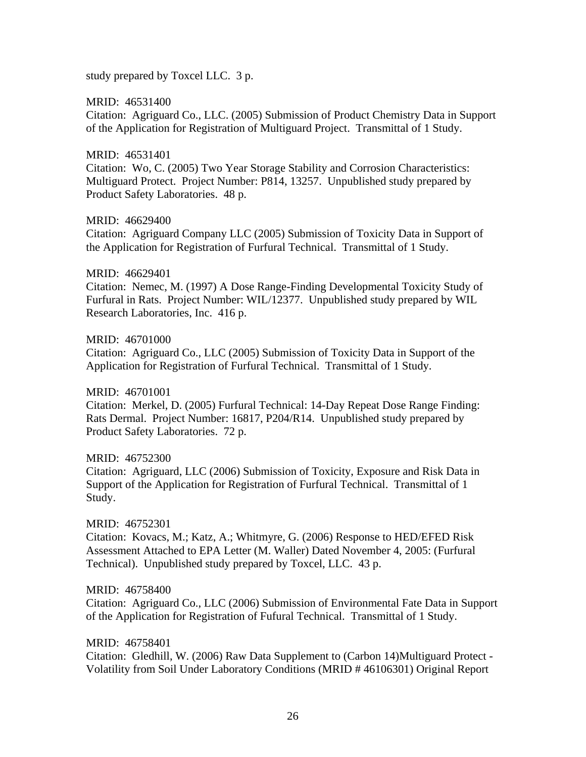study prepared by Toxcel LLC. 3 p.

MRID: 46531400

Citation: Agriguard Co., LLC. (2005) Submission of Product Chemistry Data in Support of the Application for Registration of Multiguard Project. Transmittal of 1 Study.

MRID: 46531401

Citation: Wo, C. (2005) Two Year Storage Stability and Corrosion Characteristics: Multiguard Protect. Project Number: P814, 13257. Unpublished study prepared by Product Safety Laboratories. 48 p.

MRID: 46629400

Citation: Agriguard Company LLC (2005) Submission of Toxicity Data in Support of the Application for Registration of Furfural Technical. Transmittal of 1 Study.

MRID: 46629401

Citation: Nemec, M. (1997) A Dose Range-Finding Developmental Toxicity Study of Furfural in Rats. Project Number: WIL/12377. Unpublished study prepared by WIL Research Laboratories, Inc. 416 p.

MRID: 46701000 Citation: Agriguard Co., LLC (2005) Submission of Toxicity Data in Support of the Application for Registration of Furfural Technical. Transmittal of 1 Study.

MRID: 46701001 Citation: Merkel, D. (2005) Furfural Technical: 14-Day Repeat Dose Range Finding: Rats Dermal. Project Number: 16817, P204/R14. Unpublished study prepared by Product Safety Laboratories. 72 p.

MRID: 46752300 Citation: Agriguard, LLC (2006) Submission of Toxicity, Exposure and Risk Data in Support of the Application for Registration of Furfural Technical. Transmittal of 1 Study.

MRID: 46752301 Citation: Kovacs, M.; Katz, A.; Whitmyre, G. (2006) Response to HED/EFED Risk Assessment Attached to EPA Letter (M. Waller) Dated November 4, 2005: (Furfural Technical). Unpublished study prepared by Toxcel, LLC. 43 p.

MRID: 46758400 Citation: Agriguard Co., LLC (2006) Submission of Environmental Fate Data in Support of the Application for Registration of Fufural Technical. Transmittal of 1 Study.

MRID: 46758401 Citation: Gledhill, W. (2006) Raw Data Supplement to (Carbon 14)Multiguard Protect - Volatility from Soil Under Laboratory Conditions (MRID # 46106301) Original Report